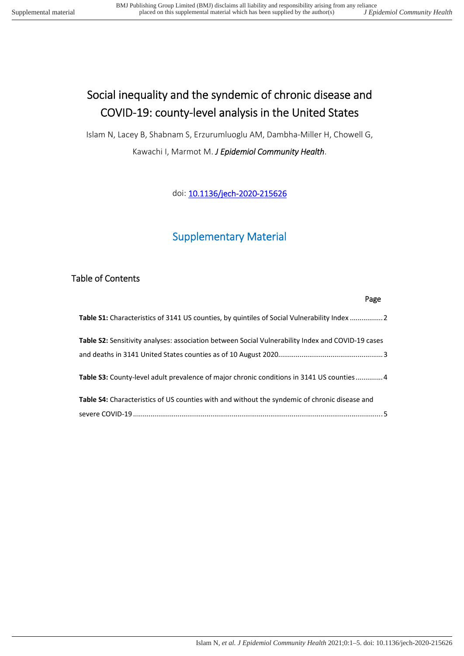# Social inequality and the syndemic of chronic disease and COVID-19: county-level analysis in the United States

Islam N, Lacey B, Shabnam S, Erzurumluoglu AM, Dambha-Miller H, Chowell G, Kawachi I, Marmot M. *J Epidemiol Community Health*.

doi: [10.1136/jech-2020-215626](file:///C:\Users\remote\Downloads\syndemic_paper_revision\doi.org\10.1136\jech-2020-215626)

# Supplementary Material

### Table of Contents

| Page                                                                                                     |
|----------------------------------------------------------------------------------------------------------|
| Table S1: Characteristics of 3141 US counties, by quintiles of Social Vulnerability Index  2             |
| <b>Table S2:</b> Sensitivity analyses: association between Social Vulnerability Index and COVID-19 cases |
|                                                                                                          |
| Table S3: County-level adult prevalence of major chronic conditions in 3141 US counties4                 |
| Table S4: Characteristics of US counties with and without the syndemic of chronic disease and            |
|                                                                                                          |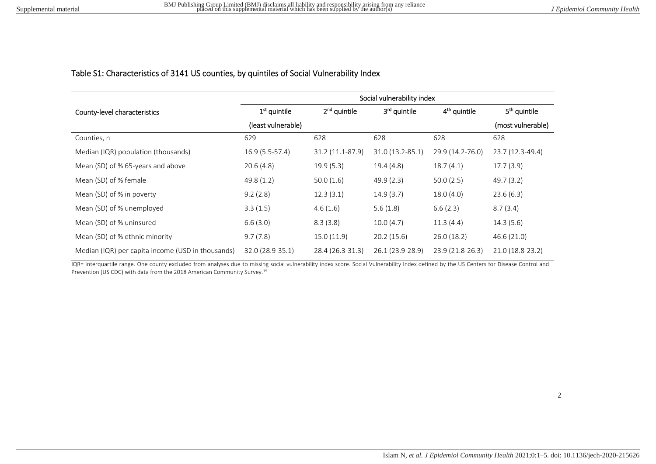#### Table S1: Characteristics of 3141 US counties, by quintiles of Social Vulnerability Index

|                                                   | Social vulnerability index |                  |                          |                          |                          |  |
|---------------------------------------------------|----------------------------|------------------|--------------------------|--------------------------|--------------------------|--|
| County-level characteristics                      | $1st$ quintile             | $2nd$ quintile   | 3 <sup>rd</sup> quintile | 4 <sup>th</sup> quintile | 5 <sup>th</sup> quintile |  |
|                                                   | (least vulnerable)         |                  |                          |                          | (most vulnerable)        |  |
| Counties, n                                       | 629                        | 628              | 628                      | 628                      | 628                      |  |
| Median (IQR) population (thousands)               | $16.9(5.5-57.4)$           | 31.2 (11.1-87.9) | 31.0 (13.2-85.1)         | 29.9 (14.2-76.0)         | 23.7 (12.3-49.4)         |  |
| Mean (SD) of % 65-years and above                 | 20.6(4.8)                  | 19.9(5.3)        | 19.4(4.8)                | 18.7(4.1)                | 17.7(3.9)                |  |
| Mean (SD) of % female                             | 49.8(1.2)                  | 50.0(1.6)        | 49.9(2.3)                | 50.0(2.5)                | 49.7 (3.2)               |  |
| Mean (SD) of % in poverty                         | 9.2(2.8)                   | 12.3(3.1)        | 14.9(3.7)                | 18.0(4.0)                | 23.6(6.3)                |  |
| Mean (SD) of % unemployed                         | 3.3(1.5)                   | 4.6(1.6)         | 5.6(1.8)                 | 6.6(2.3)                 | 8.7(3.4)                 |  |
| Mean (SD) of % uninsured                          | 6.6(3.0)                   | 8.3(3.8)         | 10.0(4.7)                | 11.3(4.4)                | 14.3(5.6)                |  |
| Mean (SD) of % ethnic minority                    | 9.7(7.8)                   | 15.0(11.9)       | 20.2(15.6)               | 26.0(18.2)               | 46.6(21.0)               |  |
| Median (IQR) per capita income (USD in thousands) | 32.0 (28.9-35.1)           | 28.4 (26.3-31.3) | 26.1 (23.9-28.9)         | 23.9 (21.8-26.3)         | 21.0 (18.8-23.2)         |  |

<span id="page-1-0"></span>IQR= interquartile range. One county excluded from analyses due to missing social vulnerability index score. Social Vulnerability Index defined by the US Centers for Disease Control and Prevention (US CDC) with data from the 2018 American Community Survey.<sup>15</sup>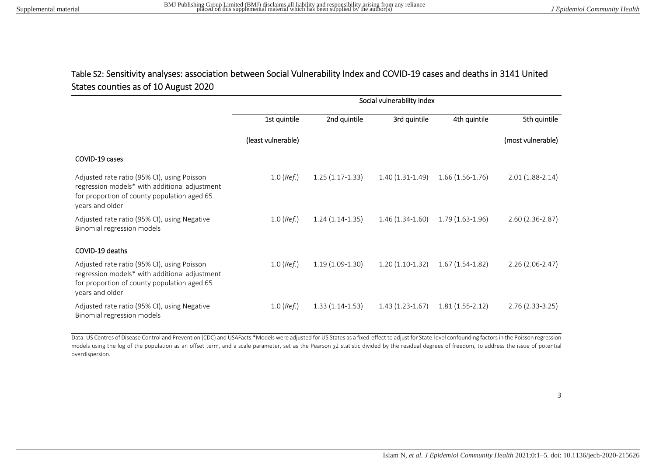# Table S2: Sensitivity analyses: association between Social Vulnerability Index and COVID-19 cases and deaths in 3141 United States counties as of 10 August 2020

|                                                                                                                                                                | Social vulnerability index |                   |                   |                   |                   |
|----------------------------------------------------------------------------------------------------------------------------------------------------------------|----------------------------|-------------------|-------------------|-------------------|-------------------|
|                                                                                                                                                                | 1st quintile               | 2nd quintile      | 3rd quintile      | 4th quintile      | 5th quintile      |
|                                                                                                                                                                | (least vulnerable)         |                   |                   |                   | (most vulnerable) |
| COVID-19 cases                                                                                                                                                 |                            |                   |                   |                   |                   |
| Adjusted rate ratio (95% CI), using Poisson<br>regression models* with additional adjustment<br>for proportion of county population aged 65<br>years and older | $1.0$ (Ref.)               | $1.25(1.17-1.33)$ | $1.40(1.31-1.49)$ | $1.66(1.56-1.76)$ | $2.01(1.88-2.14)$ |
| Adjusted rate ratio (95% CI), using Negative<br>Binomial regression models                                                                                     | $1.0$ (Ref.)               | $1.24(1.14-1.35)$ | $1.46(1.34-1.60)$ | $1.79(1.63-1.96)$ | $2.60(2.36-2.87)$ |
| COVID-19 deaths                                                                                                                                                |                            |                   |                   |                   |                   |
| Adjusted rate ratio (95% CI), using Poisson<br>regression models* with additional adjustment<br>for proportion of county population aged 65<br>years and older | $1.0$ (Ref.)               | $1.19(1.09-1.30)$ | $1.20(1.10-1.32)$ | $1.67(1.54-1.82)$ | $2.26(2.06-2.47)$ |
| Adjusted rate ratio (95% CI), using Negative<br>Binomial regression models                                                                                     | $1.0$ (Ref.)               | $1.33(1.14-1.53)$ | $1.43(1.23-1.67)$ | $1.81(1.55-2.12)$ | $2.76(2.33-3.25)$ |

<span id="page-2-0"></span>Data: US Centres of Disease Control and Prevention (CDC) and USAFacts.\*Models were adjusted for US States as a fixed-effect to adjust for State-level confounding factors in the Poisson regression models using the log of the population as an offset term, and a scale parameter, set as the Pearson χ2 statistic divided by the residual degrees of freedom, to address the issue of potential overdispersion.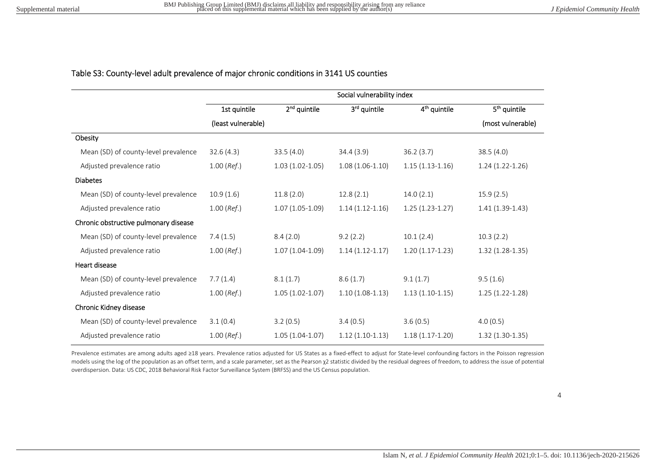#### Table S3: County-level adult prevalence of major chronic conditions in 3141 US counties

|                                       | Social vulnerability index |                   |                   |                          |                          |
|---------------------------------------|----------------------------|-------------------|-------------------|--------------------------|--------------------------|
|                                       | 1st quintile               | $2nd$ quintile    | 3rd quintile      | 4 <sup>th</sup> quintile | 5 <sup>th</sup> quintile |
|                                       | (least vulnerable)         |                   |                   |                          | (most vulnerable)        |
| Obesity                               |                            |                   |                   |                          |                          |
| Mean (SD) of county-level prevalence  | 32.6(4.3)                  | 33.5(4.0)         | 34.4(3.9)         | 36.2(3.7)                | 38.5(4.0)                |
| Adjusted prevalence ratio             | $1.00$ (Ref.)              | $1.03(1.02-1.05)$ | $1.08(1.06-1.10)$ | $1.15(1.13-1.16)$        | $1.24(1.22-1.26)$        |
| <b>Diabetes</b>                       |                            |                   |                   |                          |                          |
| Mean (SD) of county-level prevalence  | 10.9(1.6)                  | 11.8(2.0)         | 12.8(2.1)         | 14.0(2.1)                | 15.9(2.5)                |
| Adjusted prevalence ratio             | $1.00$ (Ref.)              | $1.07(1.05-1.09)$ | $1.14(1.12-1.16)$ | $1.25(1.23-1.27)$        | $1.41(1.39-1.43)$        |
| Chronic obstructive pulmonary disease |                            |                   |                   |                          |                          |
| Mean (SD) of county-level prevalence  | 7.4(1.5)                   | 8.4(2.0)          | 9.2(2.2)          | 10.1(2.4)                | 10.3(2.2)                |
| Adjusted prevalence ratio             | $1.00$ (Ref.)              | $1.07(1.04-1.09)$ | $1.14(1.12-1.17)$ | $1.20(1.17-1.23)$        | $1.32(1.28-1.35)$        |
| Heart disease                         |                            |                   |                   |                          |                          |
| Mean (SD) of county-level prevalence  | 7.7(1.4)                   | 8.1(1.7)          | 8.6(1.7)          | 9.1(1.7)                 | 9.5(1.6)                 |
| Adjusted prevalence ratio             | $1.00$ (Ref.)              | $1.05(1.02-1.07)$ | $1.10(1.08-1.13)$ | $1.13(1.10-1.15)$        | $1.25(1.22-1.28)$        |
| Chronic Kidney disease                |                            |                   |                   |                          |                          |
| Mean (SD) of county-level prevalence  | 3.1(0.4)                   | 3.2(0.5)          | 3.4(0.5)          | 3.6(0.5)                 | 4.0(0.5)                 |
| Adjusted prevalence ratio             | $1.00$ (Ref.)              | $1.05(1.04-1.07)$ | $1.12(1.10-1.13)$ | $1.18(1.17-1.20)$        | $1.32(1.30-1.35)$        |

<span id="page-3-0"></span>Prevalence estimates are among adults aged ≥18 years. Prevalence ratios adjusted for US States as a fixed-effect to adjust for State-level confounding factors in the Poisson regression models using the log of the population as an offset term, and a scale parameter, set as the Pearson χ2 statistic divided by the residual degrees of freedom, to address the issue of potential overdispersion. Data: US CDC, 2018 Behavioral Risk Factor Surveillance System (BRFSS) and the US Census population.